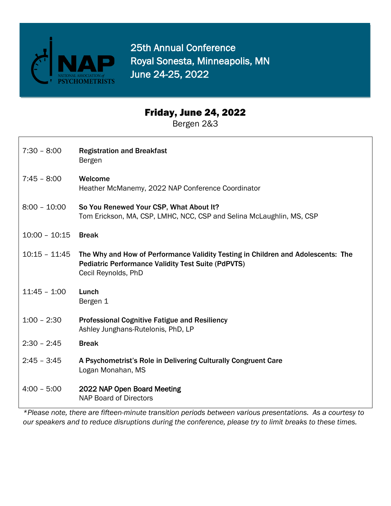

25th Annual Conference Royal Sonesta, Minneapolis, MN June 24-25, 2022

## Friday, June 24, 2022

Bergen 2&3

| $7:30 - 8:00$   | <b>Registration and Breakfast</b><br>Bergen                                                                                                                          |
|-----------------|----------------------------------------------------------------------------------------------------------------------------------------------------------------------|
| $7:45 - 8:00$   | Welcome<br>Heather McManemy, 2022 NAP Conference Coordinator                                                                                                         |
| $8:00 - 10:00$  | So You Renewed Your CSP, What About It?<br>Tom Erickson, MA, CSP, LMHC, NCC, CSP and Selina McLaughlin, MS, CSP                                                      |
| $10:00 - 10:15$ | <b>Break</b>                                                                                                                                                         |
| $10:15 - 11:45$ | The Why and How of Performance Validity Testing in Children and Adolescents: The<br><b>Pediatric Performance Validity Test Suite (PdPVTS)</b><br>Cecil Reynolds, PhD |
| $11:45 - 1:00$  | Lunch<br>Bergen 1                                                                                                                                                    |
| $1:00 - 2:30$   | <b>Professional Cognitive Fatigue and Resiliency</b><br>Ashley Junghans-Rutelonis, PhD, LP                                                                           |
| $2:30 - 2:45$   | <b>Break</b>                                                                                                                                                         |
| $2:45 - 3:45$   | A Psychometrist's Role in Delivering Culturally Congruent Care<br>Logan Monahan, MS                                                                                  |
| $4:00 - 5:00$   | 2022 NAP Open Board Meeting<br><b>NAP Board of Directors</b>                                                                                                         |

*\*Please note, there are fifteen-minute transition periods between various presentations. As a courtesy to our speakers and to reduce disruptions during the conference, please try to limit breaks to these times.*